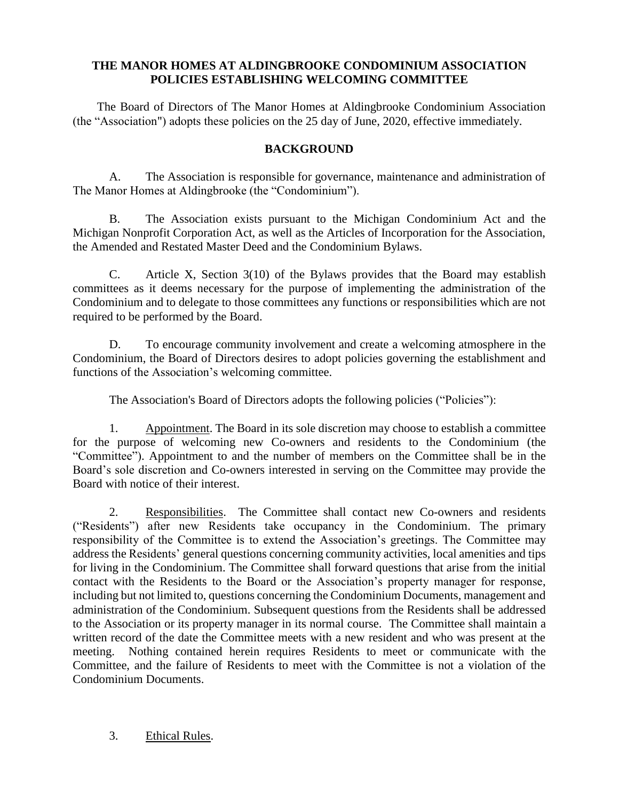## **THE MANOR HOMES AT ALDINGBROOKE CONDOMINIUM ASSOCIATION POLICIES ESTABLISHING WELCOMING COMMITTEE**

The Board of Directors of The Manor Homes at Aldingbrooke Condominium Association (the "Association") adopts these policies on the 25 day of June, 2020, effective immediately.

## **BACKGROUND**

A. The Association is responsible for governance, maintenance and administration of The Manor Homes at Aldingbrooke (the "Condominium").

B. The Association exists pursuant to the Michigan Condominium Act and the Michigan Nonprofit Corporation Act, as well as the Articles of Incorporation for the Association, the Amended and Restated Master Deed and the Condominium Bylaws.

C. Article X, Section 3(10) of the Bylaws provides that the Board may establish committees as it deems necessary for the purpose of implementing the administration of the Condominium and to delegate to those committees any functions or responsibilities which are not required to be performed by the Board.

D. To encourage community involvement and create a welcoming atmosphere in the Condominium, the Board of Directors desires to adopt policies governing the establishment and functions of the Association's welcoming committee.

The Association's Board of Directors adopts the following policies ("Policies"):

1. Appointment. The Board in its sole discretion may choose to establish a committee for the purpose of welcoming new Co-owners and residents to the Condominium (the "Committee"). Appointment to and the number of members on the Committee shall be in the Board's sole discretion and Co-owners interested in serving on the Committee may provide the Board with notice of their interest.

2. Responsibilities. The Committee shall contact new Co-owners and residents ("Residents") after new Residents take occupancy in the Condominium. The primary responsibility of the Committee is to extend the Association's greetings. The Committee may address the Residents' general questions concerning community activities, local amenities and tips for living in the Condominium. The Committee shall forward questions that arise from the initial contact with the Residents to the Board or the Association's property manager for response, including but not limited to, questions concerning the Condominium Documents, management and administration of the Condominium. Subsequent questions from the Residents shall be addressed to the Association or its property manager in its normal course. The Committee shall maintain a written record of the date the Committee meets with a new resident and who was present at the meeting. Nothing contained herein requires Residents to meet or communicate with the Committee, and the failure of Residents to meet with the Committee is not a violation of the Condominium Documents.

3. Ethical Rules.